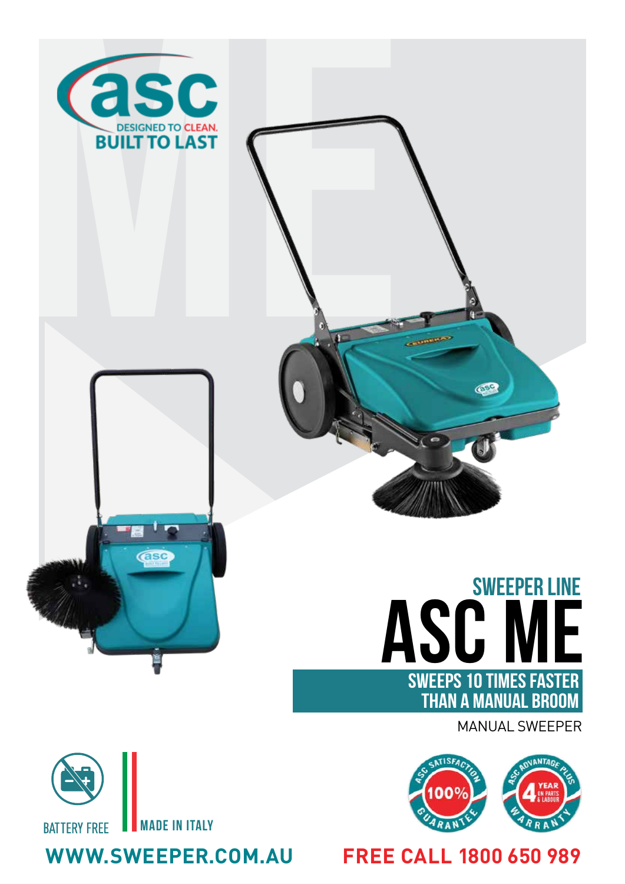





## **ASC ME**  SWEEPER LINE SWEEPS 10 TIMES FASTER THAN A MANUAL BROOM

MANUAL SWEEPER



## made in Italy **BATTERY FREE**

**WWW.SWEEPER.COM.AU FREE CALL 1800 650 989**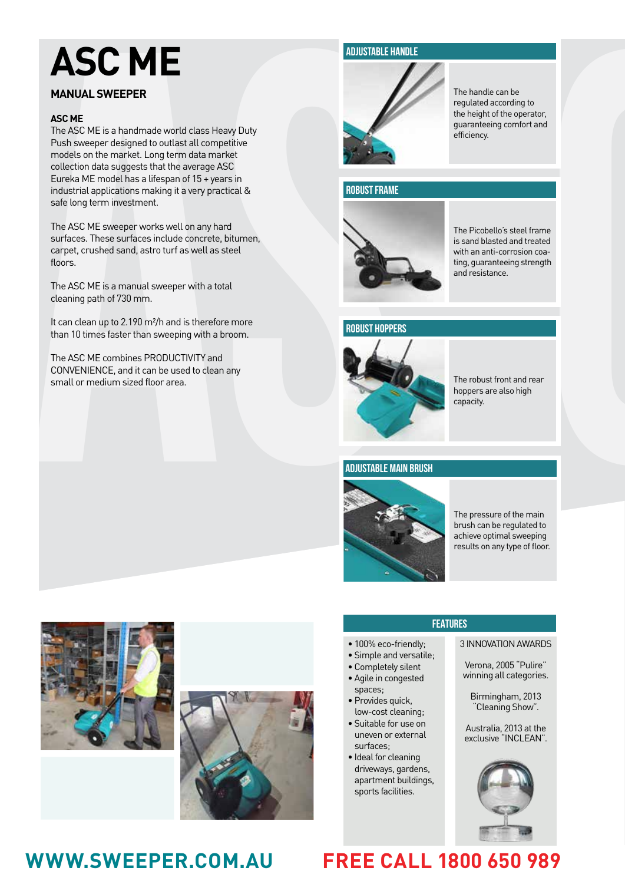# **ASC ME**

## **MANUAL SWEEPER**

## **ASC ME**

**MANUAL SWEEPER MEASURE CONTRACT CONTRACT CONTRACT CONTRACT CONTRACT CONTRACT CONTRACT CONTRACT CONTRACT CONTRACT CONTRACT CONTRACT CONTRACT CONTRACT CONTRACT CONTRACT CONTRACT CONTRACT CONTRACT CONTRACT CONTRACT CONTRACT** The ASC ME is a handmade world class Heavy Duty Push sweeper designed to outlast all competitive models on the market. Long term data market collection data suggests that the average ASC Eureka ME model has a lifespan of 15 + years in industrial applications making it a very practical & safe long term investment.

The ASC ME sweeper works well on any hard surfaces. These surfaces include concrete, bitumen, carpet, crushed sand, astro turf as well as steel floors.

The ASC ME is a manual sweeper with a total cleaning path of 730 mm.

It can clean up to 2.190 m<sup>2</sup>/h and is therefore more than 10 times faster than sweeping with a broom.

The ASC ME combines PRODUCTIVITY and CONVENIENCE, and it can be used to clean any small or medium sized floor area.

## **ADJUSTABLE HANDLE**



The handle can be regulated according to the height of the operator, guaranteeing comfort and efficiency.

## **ROBUST FRAME**



The Picobello's steel frame is sand blasted and treated with an anti-corrosion coating, guaranteeing strength and resistance.

## **ROBUST HOPPERS**



The robust front and rear hoppers are also high capacity.

## **ADJUSTABLE MAIN BRUSH**



The pressure of the main brush can be regulated to achieve optimal sweeping results on any type of floor.





- 100% eco-friendly;
- Simple and versatile;
- Completely silent
- Agile in congested spaces;
- Provides quick, low-cost cleaning;
- Suitable for use on uneven or external surfaces;
- Ideal for cleaning driveways, gardens, apartment buildings, sports facilities.

## **FEATURES**

### 3 INNOVATION AWARDS

Verona, 2005 "Pulire" winning all categories.

Birmingham, 2013 "Cleaning Show".

Australia, 2013 at the exclusive "INCLEAN".



## **WWW.SWEEPER.COM.AU FREE CALL 1800 650 989**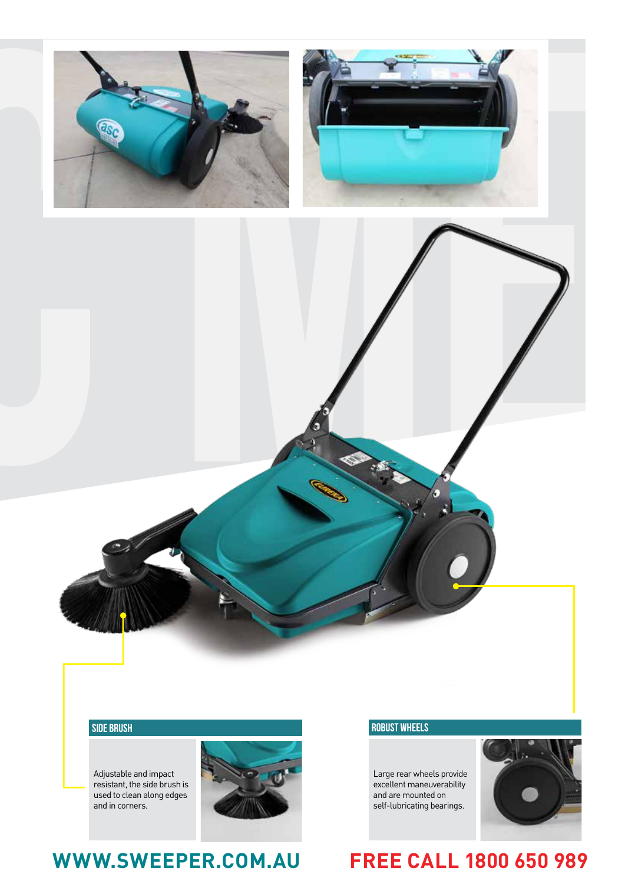

Adjustable and impact resistant, the side brush is used to clean along edges and in corners.



## **WWW.SWEEPER.COM.AU FREE CALL 1800 650 989**

Large rear wheels provide excellent maneuverability and are mounted on self-lubricating bearings.